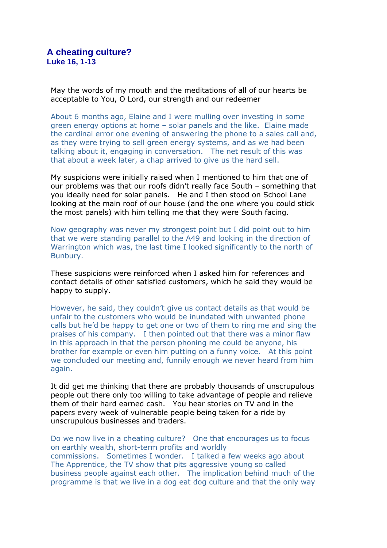May the words of my mouth and the meditations of all of our hearts be acceptable to You, O Lord, our strength and our redeemer

About 6 months ago, Elaine and I were mulling over investing in some green energy options at home – solar panels and the like. Elaine made the cardinal error one evening of answering the phone to a sales call and, as they were trying to sell green energy systems, and as we had been talking about it, engaging in conversation. The net result of this was that about a week later, a chap arrived to give us the hard sell.

My suspicions were initially raised when I mentioned to him that one of our problems was that our roofs didn't really face South – something that you ideally need for solar panels. He and I then stood on School Lane looking at the main roof of our house (and the one where you could stick the most panels) with him telling me that they were South facing.

Now geography was never my strongest point but I did point out to him that we were standing parallel to the A49 and looking in the direction of Warrington which was, the last time I looked significantly to the north of Bunbury.

These suspicions were reinforced when I asked him for references and contact details of other satisfied customers, which he said they would be happy to supply.

However, he said, they couldn't give us contact details as that would be unfair to the customers who would be inundated with unwanted phone calls but he'd be happy to get one or two of them to ring me and sing the praises of his company. I then pointed out that there was a minor flaw in this approach in that the person phoning me could be anyone, his brother for example or even him putting on a funny voice. At this point we concluded our meeting and, funnily enough we never heard from him again.

It did get me thinking that there are probably thousands of unscrupulous people out there only too willing to take advantage of people and relieve them of their hard earned cash. You hear stories on TV and in the papers every week of vulnerable people being taken for a ride by unscrupulous businesses and traders.

Do we now live in a cheating culture? One that encourages us to focus on earthly wealth, short-term profits and worldly commissions. Sometimes I wonder. I talked a few weeks ago about The Apprentice, the TV show that pits aggressive young so called business people against each other. The implication behind much of the programme is that we live in a dog eat dog culture and that the only way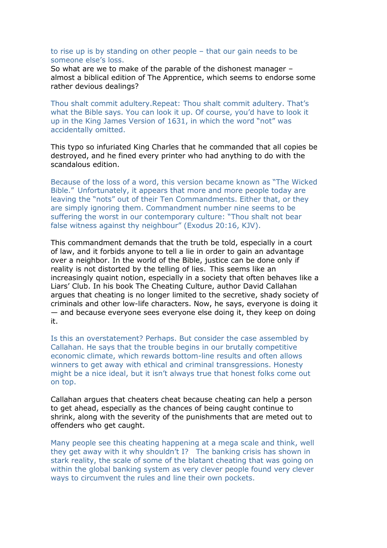to rise up is by standing on other people – that our gain needs to be someone else's loss.

So what are we to make of the parable of the dishonest manager – almost a biblical edition of The Apprentice, which seems to endorse some rather devious dealings?

Thou shalt commit adultery.Repeat: Thou shalt commit adultery. That's what the Bible says. You can look it up. Of course, you'd have to look it up in the King James Version of 1631, in which the word "not" was accidentally omitted.

This typo so infuriated King Charles that he commanded that all copies be destroyed, and he fined every printer who had anything to do with the scandalous edition.

Because of the loss of a word, this version became known as "The Wicked Bible." Unfortunately, it appears that more and more people today are leaving the "nots" out of their Ten Commandments. Either that, or they are simply ignoring them. Commandment number nine seems to be suffering the worst in our contemporary culture: "Thou shalt not bear false witness against thy neighbour" (Exodus 20:16, KJV).

This commandment demands that the truth be told, especially in a court of law, and it forbids anyone to tell a lie in order to gain an advantage over a neighbor. In the world of the Bible, justice can be done only if reality is not distorted by the telling of lies. This seems like an increasingly quaint notion, especially in a society that often behaves like a Liars' Club. In his book The Cheating Culture, author David Callahan argues that cheating is no longer limited to the secretive, shady society of criminals and other low-life characters. Now, he says, everyone is doing it — and because everyone sees everyone else doing it, they keep on doing it.

Is this an overstatement? Perhaps. But consider the case assembled by Callahan. He says that the trouble begins in our brutally competitive economic climate, which rewards bottom-line results and often allows winners to get away with ethical and criminal transgressions. Honesty might be a nice ideal, but it isn't always true that honest folks come out on top.

Callahan argues that cheaters cheat because cheating can help a person to get ahead, especially as the chances of being caught continue to shrink, along with the severity of the punishments that are meted out to offenders who get caught.

Many people see this cheating happening at a mega scale and think, well they get away with it why shouldn't I? The banking crisis has shown in stark reality, the scale of some of the blatant cheating that was going on within the global banking system as very clever people found very clever ways to circumvent the rules and line their own pockets.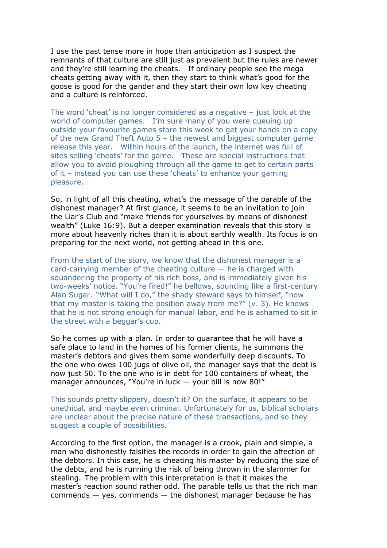I use the past tense more in hope than anticipation as I suspect the remnants of that culture are still just as prevalent but the rules are newer and they're still learning the cheats. If ordinary people see the mega cheats getting away with it, then they start to think what's good for the goose is good for the gander and they start their own low key cheating and a culture is reinforced.

The word 'cheat' is no longer considered as a negative – just look at the world of computer games. I'm sure many of you were queuing up outside your favourite games store this week to get your hands on a copy of the new Grand Theft Auto 5 – the newest and biggest computer game release this year. Within hours of the launch, the internet was full of sites selling 'cheats' for the game. These are special instructions that allow you to avoid ploughing through all the game to get to certain parts of it – instead you can use these 'cheats' to enhance your gaming pleasure.

So, in light of all this cheating, what's the message of the parable of the dishonest manager? At first glance, it seems to be an invitation to join the Liar's Club and "make friends for yourselves by means of dishonest wealth" (Luke 16:9). But a deeper examination reveals that this story is more about heavenly riches than it is about earthly wealth. Its focus is on preparing for the next world, not getting ahead in this one.

From the start of the story, we know that the dishonest manager is a card-carrying member of the cheating culture  $-$  he is charged with squandering the property of his rich boss, and is immediately given his two-weeks' notice. "You're fired!" he bellows, sounding like a first-century Alan Sugar. "What will I do," the shady steward says to himself, "now that my master is taking the position away from me?" (v. 3). He knows that he is not strong enough for manual labor, and he is ashamed to sit in the street with a beggar's cup.

So he comes up with a plan. In order to guarantee that he will have a safe place to land in the homes of his former clients, he summons the master's debtors and gives them some wonderfully deep discounts. To the one who owes 100 jugs of olive oil, the manager says that the debt is now just 50. To the one who is in debt for 100 containers of wheat, the manager announces, "You're in luck – your bill is now 80!"

This sounds pretty slippery, doesn't it? On the surface, it appears to be unethical, and maybe even criminal. Unfortunately for us, biblical scholars are unclear about the precise nature of these transactions, and so they suggest a couple of possibilities.

According to the first option, the manager is a crook, plain and simple, a man who dishonestly falsifies the records in order to gain the affection of the debtors. In this case, he is cheating his master by reducing the size of the debts, and he is running the risk of being thrown in the slammer for stealing. The problem with this interpretation is that it makes the master's reaction sound rather odd. The parable tells us that the rich man commends  $-$  yes, commends  $-$  the dishonest manager because he has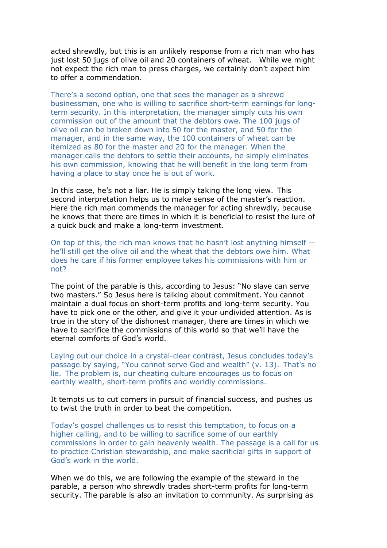acted shrewdly, but this is an unlikely response from a rich man who has just lost 50 jugs of olive oil and 20 containers of wheat. While we might not expect the rich man to press charges, we certainly don't expect him to offer a commendation.

There's a second option, one that sees the manager as a shrewd businessman, one who is willing to sacrifice short-term earnings for longterm security. In this interpretation, the manager simply cuts his own commission out of the amount that the debtors owe. The 100 jugs of olive oil can be broken down into 50 for the master, and 50 for the manager, and in the same way, the 100 containers of wheat can be itemized as 80 for the master and 20 for the manager. When the manager calls the debtors to settle their accounts, he simply eliminates his own commission, knowing that he will benefit in the long term from having a place to stay once he is out of work.

In this case, he's not a liar. He is simply taking the long view. This second interpretation helps us to make sense of the master's reaction. Here the rich man commends the manager for acting shrewdly, because he knows that there are times in which it is beneficial to resist the lure of a quick buck and make a long-term investment.

On top of this, the rich man knows that he hasn't lost anything himself he'll still get the olive oil and the wheat that the debtors owe him. What does he care if his former employee takes his commissions with him or not?

The point of the parable is this, according to Jesus: "No slave can serve two masters." So Jesus here is talking about commitment. You cannot maintain a dual focus on short-term profits and long-term security. You have to pick one or the other, and give it your undivided attention. As is true in the story of the dishonest manager, there are times in which we have to sacrifice the commissions of this world so that we'll have the eternal comforts of God's world.

Laying out our choice in a crystal-clear contrast, Jesus concludes today's passage by saying, "You cannot serve God and wealth" (v. 13). That's no lie. The problem is, our cheating culture encourages us to focus on earthly wealth, short-term profits and worldly commissions.

It tempts us to cut corners in pursuit of financial success, and pushes us to twist the truth in order to beat the competition.

Today's gospel challenges us to resist this temptation, to focus on a higher calling, and to be willing to sacrifice some of our earthly commissions in order to gain heavenly wealth. The passage is a call for us to practice Christian stewardship, and make sacrificial gifts in support of God's work in the world.

When we do this, we are following the example of the steward in the parable, a person who shrewdly trades short-term profits for long-term security. The parable is also an invitation to community. As surprising as